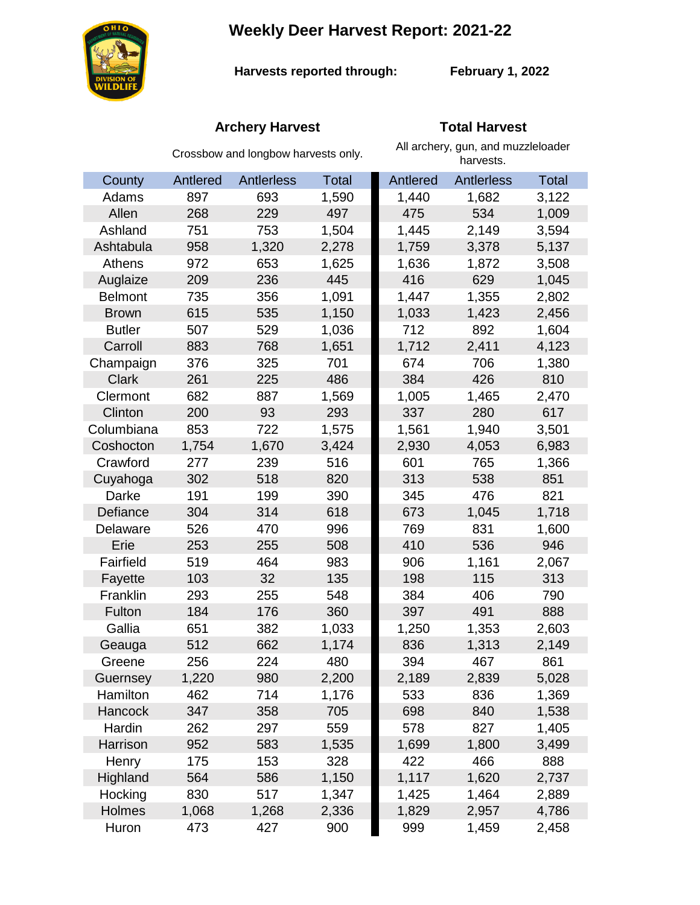**Weekly Deer Harvest Report: 2021-22**



**Harvests reported through: February 1, 2022**

## **Archery Harvest Total Harvest**

|                | Crossbow and longbow harvests only. |            |              | All archery, gun, and muzzleloader<br>harvests. |                   |              |
|----------------|-------------------------------------|------------|--------------|-------------------------------------------------|-------------------|--------------|
| County         | Antlered                            | Antlerless | <b>Total</b> | Antlered                                        | <b>Antlerless</b> | <b>Total</b> |
| Adams          | 897                                 | 693        | 1,590        | 1,440                                           | 1,682             | 3,122        |
| Allen          | 268                                 | 229        | 497          | 475                                             | 534               | 1,009        |
| Ashland        | 751                                 | 753        | 1,504        | 1,445                                           | 2,149             | 3,594        |
| Ashtabula      | 958                                 | 1,320      | 2,278        | 1,759                                           | 3,378             | 5,137        |
| Athens         | 972                                 | 653        | 1,625        | 1,636                                           | 1,872             | 3,508        |
| Auglaize       | 209                                 | 236        | 445          | 416                                             | 629               | 1,045        |
| <b>Belmont</b> | 735                                 | 356        | 1,091        | 1,447                                           | 1,355             | 2,802        |
| <b>Brown</b>   | 615                                 | 535        | 1,150        | 1,033                                           | 1,423             | 2,456        |
| <b>Butler</b>  | 507                                 | 529        | 1,036        | 712                                             | 892               | 1,604        |
| Carroll        | 883                                 | 768        | 1,651        | 1,712                                           | 2,411             | 4,123        |
| Champaign      | 376                                 | 325        | 701          | 674                                             | 706               | 1,380        |
| <b>Clark</b>   | 261                                 | 225        | 486          | 384                                             | 426               | 810          |
| Clermont       | 682                                 | 887        | 1,569        | 1,005                                           | 1,465             | 2,470        |
| Clinton        | 200                                 | 93         | 293          | 337                                             | 280               | 617          |
| Columbiana     | 853                                 | 722        | 1,575        | 1,561                                           | 1,940             | 3,501        |
| Coshocton      | 1,754                               | 1,670      | 3,424        | 2,930                                           | 4,053             | 6,983        |
| Crawford       | 277                                 | 239        | 516          | 601                                             | 765               | 1,366        |
| Cuyahoga       | 302                                 | 518        | 820          | 313                                             | 538               | 851          |
| Darke          | 191                                 | 199        | 390          | 345                                             | 476               | 821          |
| Defiance       | 304                                 | 314        | 618          | 673                                             | 1,045             | 1,718        |
| Delaware       | 526                                 | 470        | 996          | 769                                             | 831               | 1,600        |
| Erie           | 253                                 | 255        | 508          | 410                                             | 536               | 946          |
| Fairfield      | 519                                 | 464        | 983          | 906                                             | 1,161             | 2,067        |
| Fayette        | 103                                 | 32         | 135          | 198                                             | 115               | 313          |
| Franklin       | 293                                 | 255        | 548          | 384                                             | 406               | 790          |
| Fulton         | 184                                 | 176        | 360          | 397                                             | 491               | 888          |
| Gallia         | 651                                 | 382        | 1,033        | 1,250                                           | 1,353             | 2,603        |
| Geauga         | 512                                 | 662        | 1,174        | 836                                             | 1,313             | 2,149        |
| Greene         | 256                                 | 224        | 480          | 394                                             | 467               | 861          |
| Guernsey       | 1,220                               | 980        | 2,200        | 2,189                                           | 2,839             | 5,028        |
| Hamilton       | 462                                 | 714        | 1,176        | 533                                             | 836               | 1,369        |
| <b>Hancock</b> | 347                                 | 358        | 705          | 698                                             | 840               | 1,538        |
| Hardin         | 262                                 | 297        | 559          | 578                                             | 827               | 1,405        |
| Harrison       | 952                                 | 583        | 1,535        | 1,699                                           | 1,800             | 3,499        |
| Henry          | 175                                 | 153        | 328          | 422                                             | 466               | 888          |
| Highland       | 564                                 | 586        | 1,150        | 1,117                                           | 1,620             | 2,737        |
| Hocking        | 830                                 | 517        | 1,347        | 1,425                                           | 1,464             | 2,889        |
| <b>Holmes</b>  | 1,068                               | 1,268      | 2,336        | 1,829                                           | 2,957             | 4,786        |
| Huron          | 473                                 | 427        | 900          | 999                                             | 1,459             | 2,458        |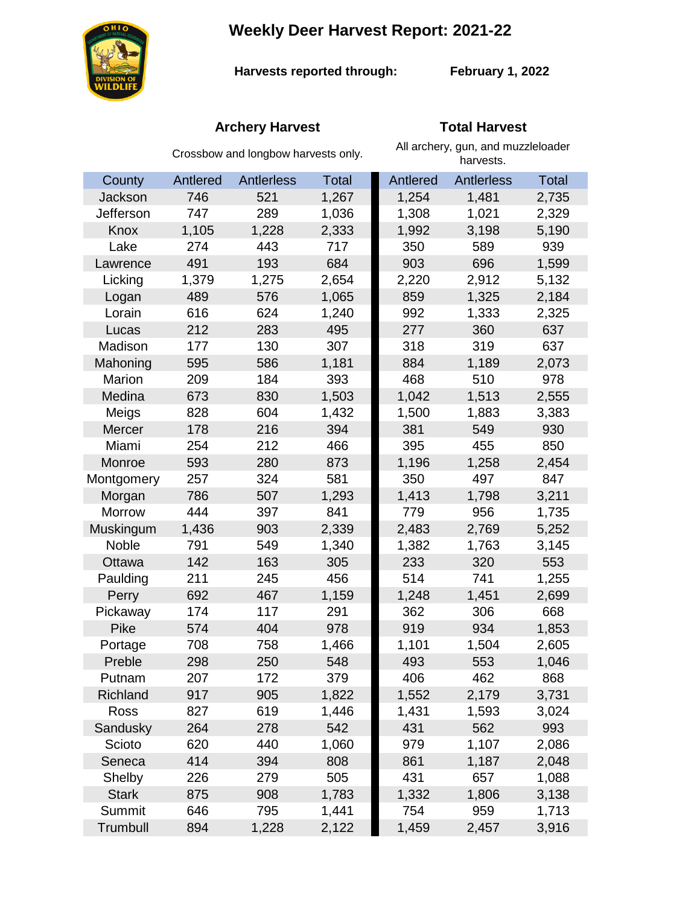# **Weekly Deer Harvest Report: 2021-22**



**Harvests reported through:** 

**February 1, 2022**

## **Archery Harvest Total Harvest**

|               | Crossbow and longbow harvests only. |            |              | All archery, gun, and muzzleloader<br>harvests. |                   |              |  |
|---------------|-------------------------------------|------------|--------------|-------------------------------------------------|-------------------|--------------|--|
| County        | Antlered                            | Antlerless | <b>Total</b> | Antlered                                        | <b>Antlerless</b> | <b>Total</b> |  |
| Jackson       | 746                                 | 521        | 1,267        | 1,254                                           | 1,481             | 2,735        |  |
| Jefferson     | 747                                 | 289        | 1,036        | 1,308                                           | 1,021             | 2,329        |  |
| Knox          | 1,105                               | 1,228      | 2,333        | 1,992                                           | 3,198             | 5,190        |  |
| Lake          | 274                                 | 443        | 717          | 350                                             | 589               | 939          |  |
| Lawrence      | 491                                 | 193        | 684          | 903                                             | 696               | 1,599        |  |
| Licking       | 1,379                               | 1,275      | 2,654        | 2,220                                           | 2,912             | 5,132        |  |
| Logan         | 489                                 | 576        | 1,065        | 859                                             | 1,325             | 2,184        |  |
| Lorain        | 616                                 | 624        | 1,240        | 992                                             | 1,333             | 2,325        |  |
| Lucas         | 212                                 | 283        | 495          | 277                                             | 360               | 637          |  |
| Madison       | 177                                 | 130        | 307          | 318                                             | 319               | 637          |  |
| Mahoning      | 595                                 | 586        | 1,181        | 884                                             | 1,189             | 2,073        |  |
| Marion        | 209                                 | 184        | 393          | 468                                             | 510               | 978          |  |
| Medina        | 673                                 | 830        | 1,503        | 1,042                                           | 1,513             | 2,555        |  |
| Meigs         | 828                                 | 604        | 1,432        | 1,500                                           | 1,883             | 3,383        |  |
| Mercer        | 178                                 | 216        | 394          | 381                                             | 549               | 930          |  |
| Miami         | 254                                 | 212        | 466          | 395                                             | 455               | 850          |  |
| Monroe        | 593                                 | 280        | 873          | 1,196                                           | 1,258             | 2,454        |  |
| Montgomery    | 257                                 | 324        | 581          | 350                                             | 497               | 847          |  |
| Morgan        | 786                                 | 507        | 1,293        | 1,413                                           | 1,798             | 3,211        |  |
| <b>Morrow</b> | 444                                 | 397        | 841          | 779                                             | 956               | 1,735        |  |
| Muskingum     | 1,436                               | 903        | 2,339        | 2,483                                           | 2,769             | 5,252        |  |
| Noble         | 791                                 | 549        | 1,340        | 1,382                                           | 1,763             | 3,145        |  |
| Ottawa        | 142                                 | 163        | 305          | 233                                             | 320               | 553          |  |
| Paulding      | 211                                 | 245        | 456          | 514                                             | 741               | 1,255        |  |
| Perry         | 692                                 | 467        | 1,159        | 1,248                                           | 1,451             | 2,699        |  |
| Pickaway      | 174                                 | 117        | 291          | 362                                             | 306               | 668          |  |
| Pike          | 574                                 | 404        | 978          | 919                                             | 934               | 1,853        |  |
| Portage       | 708                                 | 758        | 1,466        | 1,101                                           | 1,504             | 2,605        |  |
| Preble        | 298                                 | 250        | 548          | 493                                             | 553               | 1,046        |  |
| Putnam        | 207                                 | 172        | 379          | 406                                             | 462               | 868          |  |
| Richland      | 917                                 | 905        | 1,822        | 1,552                                           | 2,179             | 3,731        |  |
| Ross          | 827                                 | 619        | 1,446        | 1,431                                           | 1,593             | 3,024        |  |
| Sandusky      | 264                                 | 278        | 542          | 431                                             | 562               | 993          |  |
| Scioto        | 620                                 | 440        | 1,060        | 979                                             | 1,107             | 2,086        |  |
| Seneca        | 414                                 | 394        | 808          | 861                                             | 1,187             | 2,048        |  |
| Shelby        | 226                                 | 279        | 505          | 431                                             | 657               | 1,088        |  |
| <b>Stark</b>  | 875                                 | 908        | 1,783        | 1,332                                           | 1,806             | 3,138        |  |
| Summit        | 646                                 | 795        | 1,441        | 754                                             | 959               | 1,713        |  |
| Trumbull      | 894                                 | 1,228      | 2,122        | 1,459                                           | 2,457             | 3,916        |  |